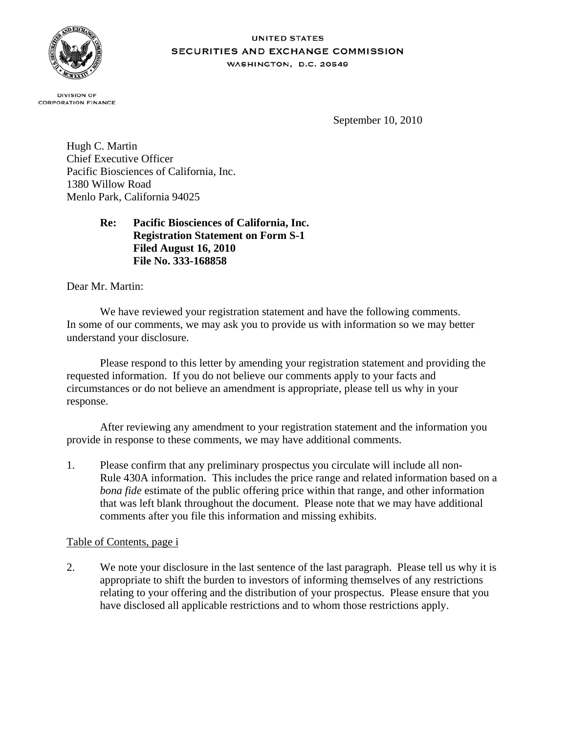

#### **UNITED STATES SECURITIES AND EXCHANGE COMMISSION** WASHINGTON, D.C. 20549

**DIVISION OF CORPORATION FINANCE** 

September 10, 2010

Hugh C. Martin Chief Executive Officer Pacific Biosciences of California, Inc. 1380 Willow Road Menlo Park, California 94025

# **Re: Pacific Biosciences of California, Inc. Registration Statement on Form S-1 Filed August 16, 2010 File No. 333-168858**

Dear Mr. Martin:

We have reviewed your registration statement and have the following comments. In some of our comments, we may ask you to provide us with information so we may better understand your disclosure.

Please respond to this letter by amending your registration statement and providing the requested information. If you do not believe our comments apply to your facts and circumstances or do not believe an amendment is appropriate, please tell us why in your response.

After reviewing any amendment to your registration statement and the information you provide in response to these comments, we may have additional comments.

1. Please confirm that any preliminary prospectus you circulate will include all non-Rule 430A information. This includes the price range and related information based on a *bona fide* estimate of the public offering price within that range, and other information that was left blank throughout the document. Please note that we may have additional comments after you file this information and missing exhibits.

## Table of Contents, page i

2. We note your disclosure in the last sentence of the last paragraph. Please tell us why it is appropriate to shift the burden to investors of informing themselves of any restrictions relating to your offering and the distribution of your prospectus. Please ensure that you have disclosed all applicable restrictions and to whom those restrictions apply.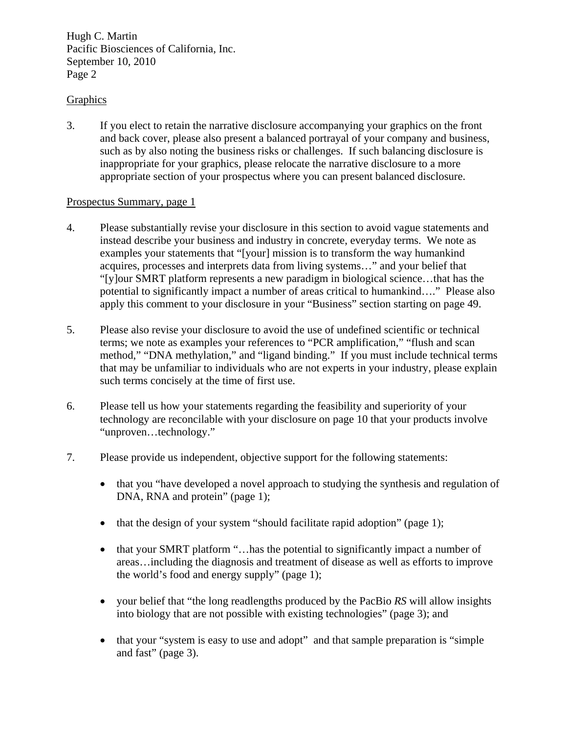# Graphics

3. If you elect to retain the narrative disclosure accompanying your graphics on the front and back cover, please also present a balanced portrayal of your company and business, such as by also noting the business risks or challenges. If such balancing disclosure is inappropriate for your graphics, please relocate the narrative disclosure to a more appropriate section of your prospectus where you can present balanced disclosure.

#### Prospectus Summary, page 1

- 4. Please substantially revise your disclosure in this section to avoid vague statements and instead describe your business and industry in concrete, everyday terms. We note as examples your statements that "[your] mission is to transform the way humankind acquires, processes and interprets data from living systems…" and your belief that "[y]our SMRT platform represents a new paradigm in biological science…that has the potential to significantly impact a number of areas critical to humankind…." Please also apply this comment to your disclosure in your "Business" section starting on page 49.
- 5. Please also revise your disclosure to avoid the use of undefined scientific or technical terms; we note as examples your references to "PCR amplification," "flush and scan method," "DNA methylation," and "ligand binding." If you must include technical terms that may be unfamiliar to individuals who are not experts in your industry, please explain such terms concisely at the time of first use.
- 6. Please tell us how your statements regarding the feasibility and superiority of your technology are reconcilable with your disclosure on page 10 that your products involve "unproven…technology."
- 7. Please provide us independent, objective support for the following statements:
	- that you "have developed a novel approach to studying the synthesis and regulation of DNA, RNA and protein" (page 1);
	- that the design of your system "should facilitate rapid adoption" (page 1);
	- that your SMRT platform "... has the potential to significantly impact a number of areas…including the diagnosis and treatment of disease as well as efforts to improve the world's food and energy supply" (page 1);
	- your belief that "the long readlengths produced by the PacBio *RS* will allow insights into biology that are not possible with existing technologies" (page 3); and
	- that your "system is easy to use and adopt" and that sample preparation is "simple and fast" (page 3).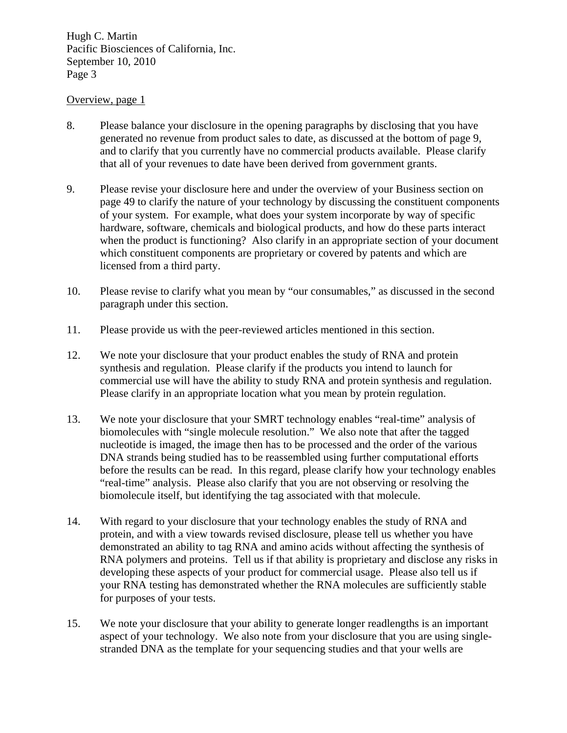#### Overview, page 1

- 8. Please balance your disclosure in the opening paragraphs by disclosing that you have generated no revenue from product sales to date, as discussed at the bottom of page 9, and to clarify that you currently have no commercial products available. Please clarify that all of your revenues to date have been derived from government grants.
- 9. Please revise your disclosure here and under the overview of your Business section on page 49 to clarify the nature of your technology by discussing the constituent components of your system. For example, what does your system incorporate by way of specific hardware, software, chemicals and biological products, and how do these parts interact when the product is functioning? Also clarify in an appropriate section of your document which constituent components are proprietary or covered by patents and which are licensed from a third party.
- 10. Please revise to clarify what you mean by "our consumables," as discussed in the second paragraph under this section.
- 11. Please provide us with the peer-reviewed articles mentioned in this section.
- 12. We note your disclosure that your product enables the study of RNA and protein synthesis and regulation. Please clarify if the products you intend to launch for commercial use will have the ability to study RNA and protein synthesis and regulation. Please clarify in an appropriate location what you mean by protein regulation.
- 13. We note your disclosure that your SMRT technology enables "real-time" analysis of biomolecules with "single molecule resolution." We also note that after the tagged nucleotide is imaged, the image then has to be processed and the order of the various DNA strands being studied has to be reassembled using further computational efforts before the results can be read. In this regard, please clarify how your technology enables "real-time" analysis. Please also clarify that you are not observing or resolving the biomolecule itself, but identifying the tag associated with that molecule.
- 14. With regard to your disclosure that your technology enables the study of RNA and protein, and with a view towards revised disclosure, please tell us whether you have demonstrated an ability to tag RNA and amino acids without affecting the synthesis of RNA polymers and proteins. Tell us if that ability is proprietary and disclose any risks in developing these aspects of your product for commercial usage. Please also tell us if your RNA testing has demonstrated whether the RNA molecules are sufficiently stable for purposes of your tests.
- 15. We note your disclosure that your ability to generate longer readlengths is an important aspect of your technology. We also note from your disclosure that you are using singlestranded DNA as the template for your sequencing studies and that your wells are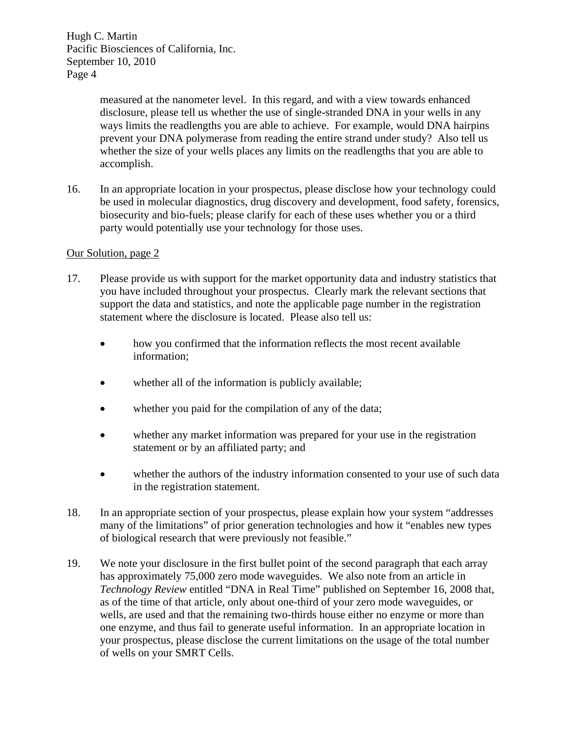> measured at the nanometer level. In this regard, and with a view towards enhanced disclosure, please tell us whether the use of single-stranded DNA in your wells in any ways limits the readlengths you are able to achieve. For example, would DNA hairpins prevent your DNA polymerase from reading the entire strand under study? Also tell us whether the size of your wells places any limits on the readlengths that you are able to accomplish.

16. In an appropriate location in your prospectus, please disclose how your technology could be used in molecular diagnostics, drug discovery and development, food safety, forensics, biosecurity and bio-fuels; please clarify for each of these uses whether you or a third party would potentially use your technology for those uses.

#### Our Solution, page 2

- 17. Please provide us with support for the market opportunity data and industry statistics that you have included throughout your prospectus. Clearly mark the relevant sections that support the data and statistics, and note the applicable page number in the registration statement where the disclosure is located. Please also tell us:
	- how you confirmed that the information reflects the most recent available information;
	- whether all of the information is publicly available;
	- whether you paid for the compilation of any of the data;
	- whether any market information was prepared for your use in the registration statement or by an affiliated party; and
	- whether the authors of the industry information consented to your use of such data in the registration statement.
- 18. In an appropriate section of your prospectus, please explain how your system "addresses many of the limitations" of prior generation technologies and how it "enables new types of biological research that were previously not feasible."
- 19. We note your disclosure in the first bullet point of the second paragraph that each array has approximately 75,000 zero mode waveguides. We also note from an article in *Technology Review* entitled "DNA in Real Time" published on September 16, 2008 that, as of the time of that article, only about one-third of your zero mode waveguides, or wells, are used and that the remaining two-thirds house either no enzyme or more than one enzyme, and thus fail to generate useful information. In an appropriate location in your prospectus, please disclose the current limitations on the usage of the total number of wells on your SMRT Cells.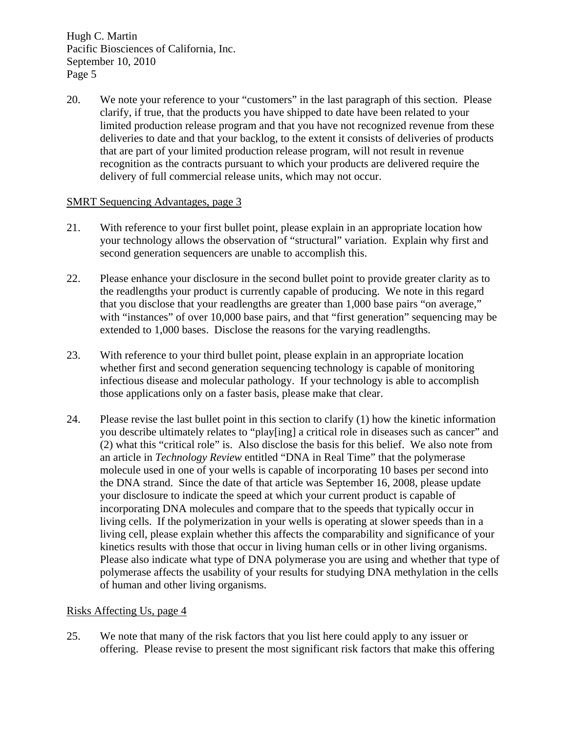20. We note your reference to your "customers" in the last paragraph of this section. Please clarify, if true, that the products you have shipped to date have been related to your limited production release program and that you have not recognized revenue from these deliveries to date and that your backlog, to the extent it consists of deliveries of products that are part of your limited production release program, will not result in revenue recognition as the contracts pursuant to which your products are delivered require the delivery of full commercial release units, which may not occur.

## SMRT Sequencing Advantages, page 3

- 21. With reference to your first bullet point, please explain in an appropriate location how your technology allows the observation of "structural" variation. Explain why first and second generation sequencers are unable to accomplish this.
- 22. Please enhance your disclosure in the second bullet point to provide greater clarity as to the readlengths your product is currently capable of producing. We note in this regard that you disclose that your readlengths are greater than 1,000 base pairs "on average," with "instances" of over 10,000 base pairs, and that "first generation" sequencing may be extended to 1,000 bases. Disclose the reasons for the varying readlengths.
- 23. With reference to your third bullet point, please explain in an appropriate location whether first and second generation sequencing technology is capable of monitoring infectious disease and molecular pathology. If your technology is able to accomplish those applications only on a faster basis, please make that clear.
- 24. Please revise the last bullet point in this section to clarify (1) how the kinetic information you describe ultimately relates to "play[ing] a critical role in diseases such as cancer" and (2) what this "critical role" is. Also disclose the basis for this belief. We also note from an article in *Technology Review* entitled "DNA in Real Time" that the polymerase molecule used in one of your wells is capable of incorporating 10 bases per second into the DNA strand. Since the date of that article was September 16, 2008, please update your disclosure to indicate the speed at which your current product is capable of incorporating DNA molecules and compare that to the speeds that typically occur in living cells. If the polymerization in your wells is operating at slower speeds than in a living cell, please explain whether this affects the comparability and significance of your kinetics results with those that occur in living human cells or in other living organisms. Please also indicate what type of DNA polymerase you are using and whether that type of polymerase affects the usability of your results for studying DNA methylation in the cells of human and other living organisms.

## Risks Affecting Us, page 4

25. We note that many of the risk factors that you list here could apply to any issuer or offering. Please revise to present the most significant risk factors that make this offering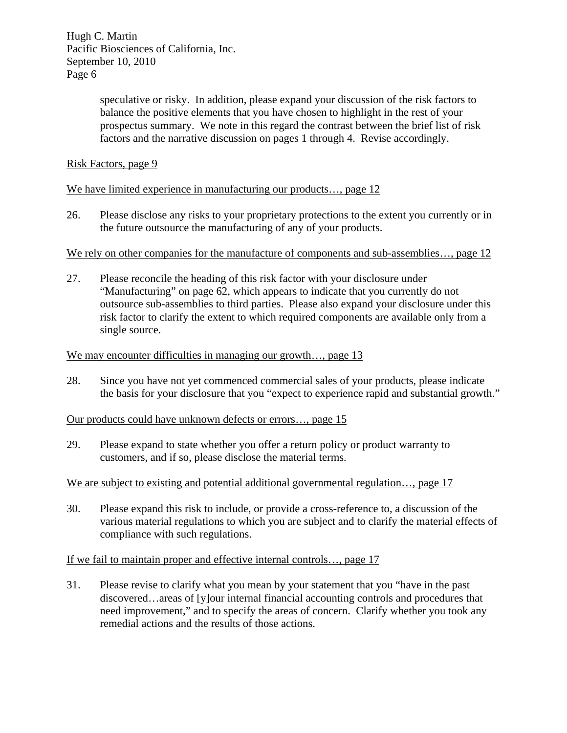> speculative or risky. In addition, please expand your discussion of the risk factors to balance the positive elements that you have chosen to highlight in the rest of your prospectus summary. We note in this regard the contrast between the brief list of risk factors and the narrative discussion on pages 1 through 4. Revise accordingly.

Risk Factors, page 9

We have limited experience in manufacturing our products..., page 12

26. Please disclose any risks to your proprietary protections to the extent you currently or in the future outsource the manufacturing of any of your products.

#### We rely on other companies for the manufacture of components and sub-assemblies..., page 12

27. Please reconcile the heading of this risk factor with your disclosure under "Manufacturing" on page 62, which appears to indicate that you currently do not outsource sub-assemblies to third parties. Please also expand your disclosure under this risk factor to clarify the extent to which required components are available only from a single source.

#### We may encounter difficulties in managing our growth..., page 13

28. Since you have not yet commenced commercial sales of your products, please indicate the basis for your disclosure that you "expect to experience rapid and substantial growth."

#### Our products could have unknown defects or errors…, page 15

29. Please expand to state whether you offer a return policy or product warranty to customers, and if so, please disclose the material terms.

## We are subject to existing and potential additional governmental regulation..., page 17

30. Please expand this risk to include, or provide a cross-reference to, a discussion of the various material regulations to which you are subject and to clarify the material effects of compliance with such regulations.

## If we fail to maintain proper and effective internal controls…, page 17

31. Please revise to clarify what you mean by your statement that you "have in the past discovered…areas of [y]our internal financial accounting controls and procedures that need improvement," and to specify the areas of concern. Clarify whether you took any remedial actions and the results of those actions.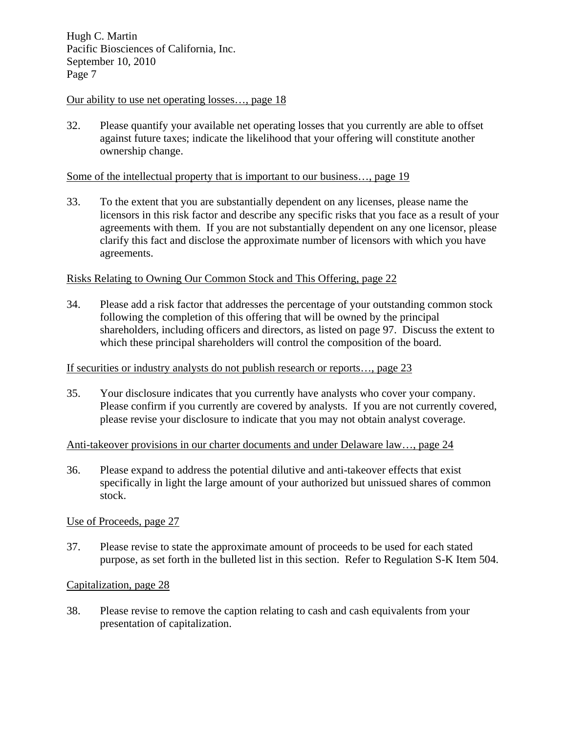#### Our ability to use net operating losses…, page 18

32. Please quantify your available net operating losses that you currently are able to offset against future taxes; indicate the likelihood that your offering will constitute another ownership change.

#### Some of the intellectual property that is important to our business..., page 19

33. To the extent that you are substantially dependent on any licenses, please name the licensors in this risk factor and describe any specific risks that you face as a result of your agreements with them. If you are not substantially dependent on any one licensor, please clarify this fact and disclose the approximate number of licensors with which you have agreements.

#### Risks Relating to Owning Our Common Stock and This Offering, page 22

34. Please add a risk factor that addresses the percentage of your outstanding common stock following the completion of this offering that will be owned by the principal shareholders, including officers and directors, as listed on page 97. Discuss the extent to which these principal shareholders will control the composition of the board.

#### If securities or industry analysts do not publish research or reports…, page 23

35. Your disclosure indicates that you currently have analysts who cover your company. Please confirm if you currently are covered by analysts. If you are not currently covered, please revise your disclosure to indicate that you may not obtain analyst coverage.

#### Anti-takeover provisions in our charter documents and under Delaware law…, page 24

36. Please expand to address the potential dilutive and anti-takeover effects that exist specifically in light the large amount of your authorized but unissued shares of common stock.

## Use of Proceeds, page 27

37. Please revise to state the approximate amount of proceeds to be used for each stated purpose, as set forth in the bulleted list in this section. Refer to Regulation S-K Item 504.

#### Capitalization, page 28

38. Please revise to remove the caption relating to cash and cash equivalents from your presentation of capitalization.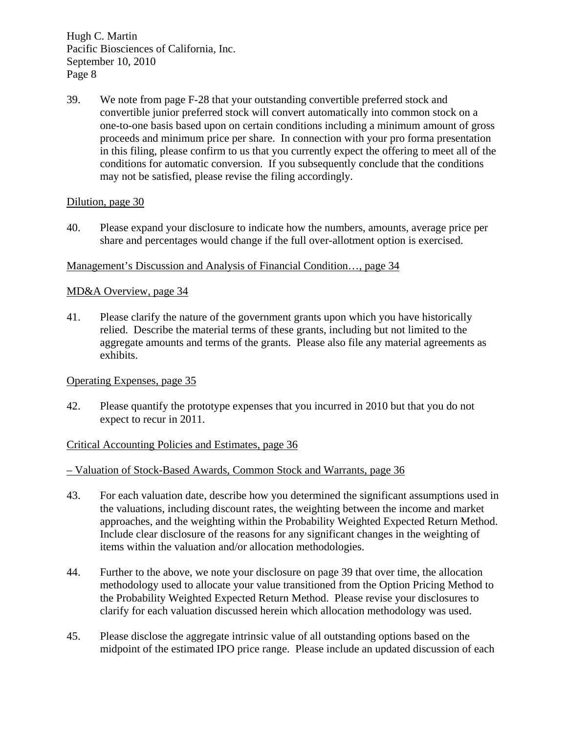39. We note from page F-28 that your outstanding convertible preferred stock and convertible junior preferred stock will convert automatically into common stock on a one-to-one basis based upon on certain conditions including a minimum amount of gross proceeds and minimum price per share. In connection with your pro forma presentation in this filing, please confirm to us that you currently expect the offering to meet all of the conditions for automatic conversion. If you subsequently conclude that the conditions may not be satisfied, please revise the filing accordingly.

## Dilution, page 30

40. Please expand your disclosure to indicate how the numbers, amounts, average price per share and percentages would change if the full over-allotment option is exercised.

# Management's Discussion and Analysis of Financial Condition…, page 34

# MD&A Overview, page 34

41. Please clarify the nature of the government grants upon which you have historically relied. Describe the material terms of these grants, including but not limited to the aggregate amounts and terms of the grants. Please also file any material agreements as exhibits.

Operating Expenses, page 35

42. Please quantify the prototype expenses that you incurred in 2010 but that you do not expect to recur in 2011.

## Critical Accounting Policies and Estimates, page 36

– Valuation of Stock-Based Awards, Common Stock and Warrants, page 36

- 43. For each valuation date, describe how you determined the significant assumptions used in the valuations, including discount rates, the weighting between the income and market approaches, and the weighting within the Probability Weighted Expected Return Method. Include clear disclosure of the reasons for any significant changes in the weighting of items within the valuation and/or allocation methodologies.
- 44. Further to the above, we note your disclosure on page 39 that over time, the allocation methodology used to allocate your value transitioned from the Option Pricing Method to the Probability Weighted Expected Return Method. Please revise your disclosures to clarify for each valuation discussed herein which allocation methodology was used.
- 45. Please disclose the aggregate intrinsic value of all outstanding options based on the midpoint of the estimated IPO price range. Please include an updated discussion of each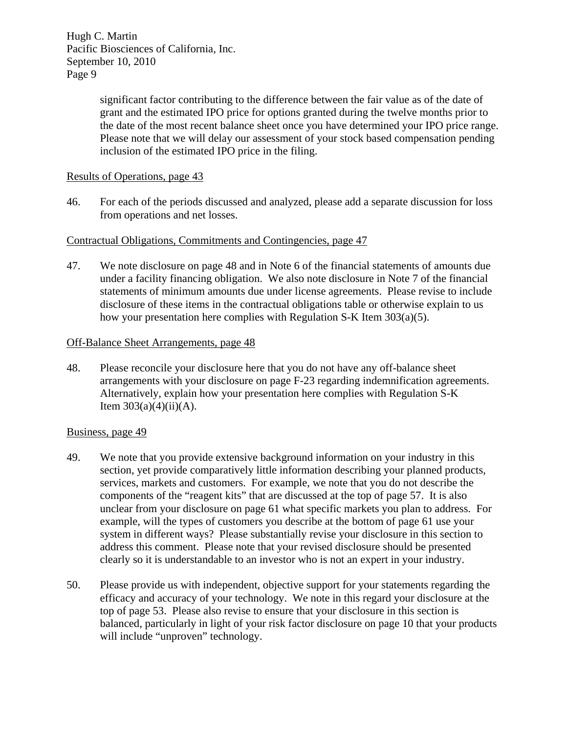> significant factor contributing to the difference between the fair value as of the date of grant and the estimated IPO price for options granted during the twelve months prior to the date of the most recent balance sheet once you have determined your IPO price range. Please note that we will delay our assessment of your stock based compensation pending inclusion of the estimated IPO price in the filing.

## Results of Operations, page 43

46. For each of the periods discussed and analyzed, please add a separate discussion for loss from operations and net losses.

# Contractual Obligations, Commitments and Contingencies, page 47

47. We note disclosure on page 48 and in Note 6 of the financial statements of amounts due under a facility financing obligation. We also note disclosure in Note 7 of the financial statements of minimum amounts due under license agreements. Please revise to include disclosure of these items in the contractual obligations table or otherwise explain to us how your presentation here complies with Regulation S-K Item 303(a)(5).

## Off-Balance Sheet Arrangements, page 48

48. Please reconcile your disclosure here that you do not have any off-balance sheet arrangements with your disclosure on page F-23 regarding indemnification agreements. Alternatively, explain how your presentation here complies with Regulation S-K Item  $303(a)(4)(ii)(A)$ .

## Business, page 49

- 49. We note that you provide extensive background information on your industry in this section, yet provide comparatively little information describing your planned products, services, markets and customers. For example, we note that you do not describe the components of the "reagent kits" that are discussed at the top of page 57. It is also unclear from your disclosure on page 61 what specific markets you plan to address. For example, will the types of customers you describe at the bottom of page 61 use your system in different ways? Please substantially revise your disclosure in this section to address this comment. Please note that your revised disclosure should be presented clearly so it is understandable to an investor who is not an expert in your industry.
- 50. Please provide us with independent, objective support for your statements regarding the efficacy and accuracy of your technology. We note in this regard your disclosure at the top of page 53. Please also revise to ensure that your disclosure in this section is balanced, particularly in light of your risk factor disclosure on page 10 that your products will include "unproven" technology.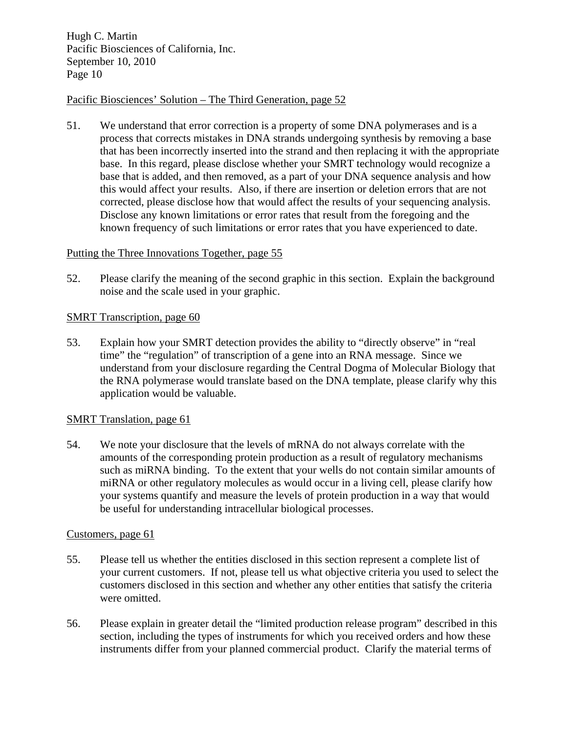## Pacific Biosciences' Solution – The Third Generation, page 52

51. We understand that error correction is a property of some DNA polymerases and is a process that corrects mistakes in DNA strands undergoing synthesis by removing a base that has been incorrectly inserted into the strand and then replacing it with the appropriate base. In this regard, please disclose whether your SMRT technology would recognize a base that is added, and then removed, as a part of your DNA sequence analysis and how this would affect your results. Also, if there are insertion or deletion errors that are not corrected, please disclose how that would affect the results of your sequencing analysis. Disclose any known limitations or error rates that result from the foregoing and the known frequency of such limitations or error rates that you have experienced to date.

## Putting the Three Innovations Together, page 55

52. Please clarify the meaning of the second graphic in this section. Explain the background noise and the scale used in your graphic.

# SMRT Transcription, page 60

53. Explain how your SMRT detection provides the ability to "directly observe" in "real time" the "regulation" of transcription of a gene into an RNA message. Since we understand from your disclosure regarding the Central Dogma of Molecular Biology that the RNA polymerase would translate based on the DNA template, please clarify why this application would be valuable.

## SMRT Translation, page 61

54. We note your disclosure that the levels of mRNA do not always correlate with the amounts of the corresponding protein production as a result of regulatory mechanisms such as miRNA binding. To the extent that your wells do not contain similar amounts of miRNA or other regulatory molecules as would occur in a living cell, please clarify how your systems quantify and measure the levels of protein production in a way that would be useful for understanding intracellular biological processes.

## Customers, page 61

- 55. Please tell us whether the entities disclosed in this section represent a complete list of your current customers. If not, please tell us what objective criteria you used to select the customers disclosed in this section and whether any other entities that satisfy the criteria were omitted.
- 56. Please explain in greater detail the "limited production release program" described in this section, including the types of instruments for which you received orders and how these instruments differ from your planned commercial product. Clarify the material terms of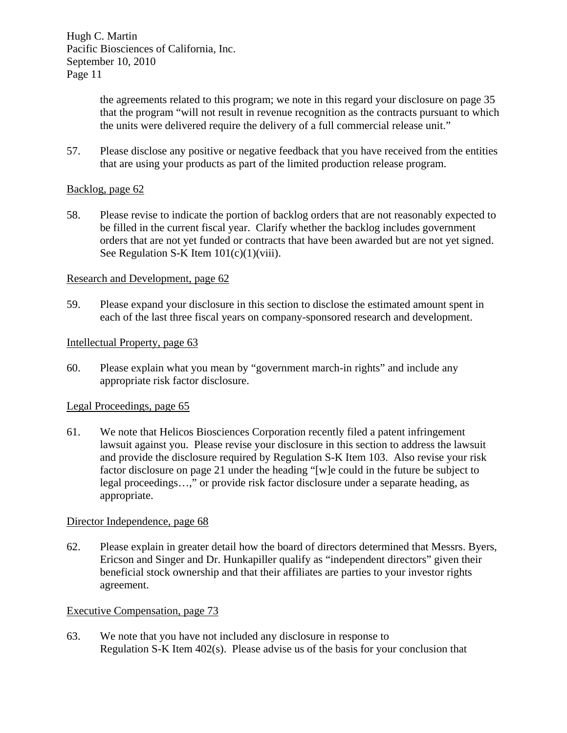> the agreements related to this program; we note in this regard your disclosure on page 35 that the program "will not result in revenue recognition as the contracts pursuant to which the units were delivered require the delivery of a full commercial release unit."

57. Please disclose any positive or negative feedback that you have received from the entities that are using your products as part of the limited production release program.

## Backlog, page 62

58. Please revise to indicate the portion of backlog orders that are not reasonably expected to be filled in the current fiscal year. Clarify whether the backlog includes government orders that are not yet funded or contracts that have been awarded but are not yet signed. See Regulation S-K Item  $101(c)(1)(viii)$ .

## Research and Development, page 62

59. Please expand your disclosure in this section to disclose the estimated amount spent in each of the last three fiscal years on company-sponsored research and development.

#### Intellectual Property, page 63

60. Please explain what you mean by "government march-in rights" and include any appropriate risk factor disclosure.

## Legal Proceedings, page 65

61. We note that Helicos Biosciences Corporation recently filed a patent infringement lawsuit against you. Please revise your disclosure in this section to address the lawsuit and provide the disclosure required by Regulation S-K Item 103. Also revise your risk factor disclosure on page 21 under the heading "[w]e could in the future be subject to legal proceedings…," or provide risk factor disclosure under a separate heading, as appropriate.

#### Director Independence, page 68

62. Please explain in greater detail how the board of directors determined that Messrs. Byers, Ericson and Singer and Dr. Hunkapiller qualify as "independent directors" given their beneficial stock ownership and that their affiliates are parties to your investor rights agreement.

## Executive Compensation, page 73

63. We note that you have not included any disclosure in response to Regulation S-K Item 402(s). Please advise us of the basis for your conclusion that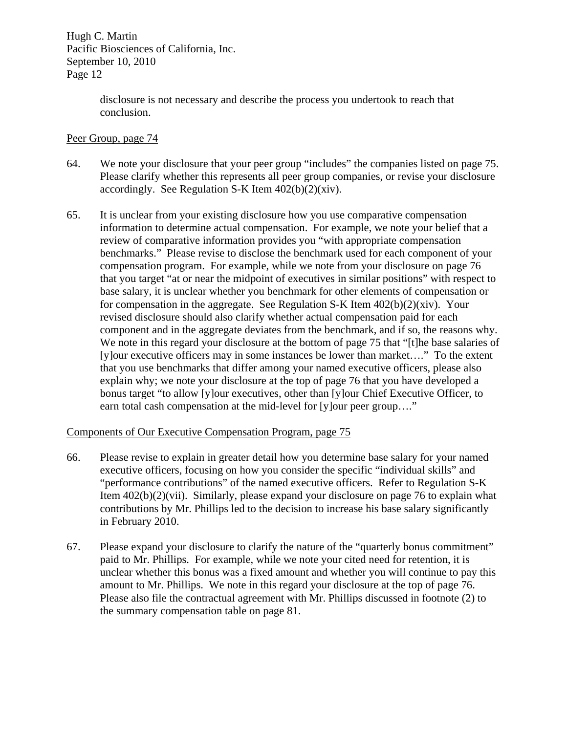> disclosure is not necessary and describe the process you undertook to reach that conclusion.

## Peer Group, page 74

- 64. We note your disclosure that your peer group "includes" the companies listed on page 75. Please clarify whether this represents all peer group companies, or revise your disclosure accordingly. See Regulation S-K Item  $402(b)(2)(xiv)$ .
- 65. It is unclear from your existing disclosure how you use comparative compensation information to determine actual compensation. For example, we note your belief that a review of comparative information provides you "with appropriate compensation benchmarks." Please revise to disclose the benchmark used for each component of your compensation program. For example, while we note from your disclosure on page 76 that you target "at or near the midpoint of executives in similar positions" with respect to base salary, it is unclear whether you benchmark for other elements of compensation or for compensation in the aggregate. See Regulation S-K Item  $402(b)(2)(xiv)$ . Your revised disclosure should also clarify whether actual compensation paid for each component and in the aggregate deviates from the benchmark, and if so, the reasons why. We note in this regard your disclosure at the bottom of page 75 that "[t]he base salaries of [y]our executive officers may in some instances be lower than market…." To the extent that you use benchmarks that differ among your named executive officers, please also explain why; we note your disclosure at the top of page 76 that you have developed a bonus target "to allow [y]our executives, other than [y]our Chief Executive Officer, to earn total cash compensation at the mid-level for [y]our peer group...."

## Components of Our Executive Compensation Program, page 75

- 66. Please revise to explain in greater detail how you determine base salary for your named executive officers, focusing on how you consider the specific "individual skills" and "performance contributions" of the named executive officers. Refer to Regulation S-K Item 402(b)(2)(vii). Similarly, please expand your disclosure on page 76 to explain what contributions by Mr. Phillips led to the decision to increase his base salary significantly in February 2010.
- 67. Please expand your disclosure to clarify the nature of the "quarterly bonus commitment" paid to Mr. Phillips. For example, while we note your cited need for retention, it is unclear whether this bonus was a fixed amount and whether you will continue to pay this amount to Mr. Phillips. We note in this regard your disclosure at the top of page 76. Please also file the contractual agreement with Mr. Phillips discussed in footnote (2) to the summary compensation table on page 81.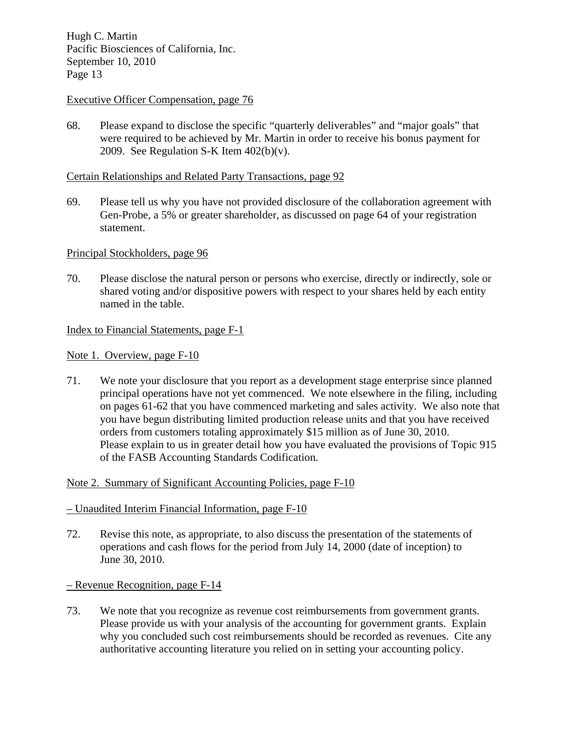## Executive Officer Compensation, page 76

68. Please expand to disclose the specific "quarterly deliverables" and "major goals" that were required to be achieved by Mr. Martin in order to receive his bonus payment for 2009. See Regulation S-K Item  $402(b)(v)$ .

#### Certain Relationships and Related Party Transactions, page 92

69. Please tell us why you have not provided disclosure of the collaboration agreement with Gen-Probe, a 5% or greater shareholder, as discussed on page 64 of your registration statement.

#### Principal Stockholders, page 96

70. Please disclose the natural person or persons who exercise, directly or indirectly, sole or shared voting and/or dispositive powers with respect to your shares held by each entity named in the table.

#### Index to Financial Statements, page F-1

Note 1. Overview, page F-10

71. We note your disclosure that you report as a development stage enterprise since planned principal operations have not yet commenced. We note elsewhere in the filing, including on pages 61-62 that you have commenced marketing and sales activity. We also note that you have begun distributing limited production release units and that you have received orders from customers totaling approximately \$15 million as of June 30, 2010. Please explain to us in greater detail how you have evaluated the provisions of Topic 915 of the FASB Accounting Standards Codification.

## Note 2. Summary of Significant Accounting Policies, page F-10

## – Unaudited Interim Financial Information, page F-10

72. Revise this note, as appropriate, to also discuss the presentation of the statements of operations and cash flows for the period from July 14, 2000 (date of inception) to June 30, 2010.

#### – Revenue Recognition, page F-14

73. We note that you recognize as revenue cost reimbursements from government grants. Please provide us with your analysis of the accounting for government grants. Explain why you concluded such cost reimbursements should be recorded as revenues. Cite any authoritative accounting literature you relied on in setting your accounting policy.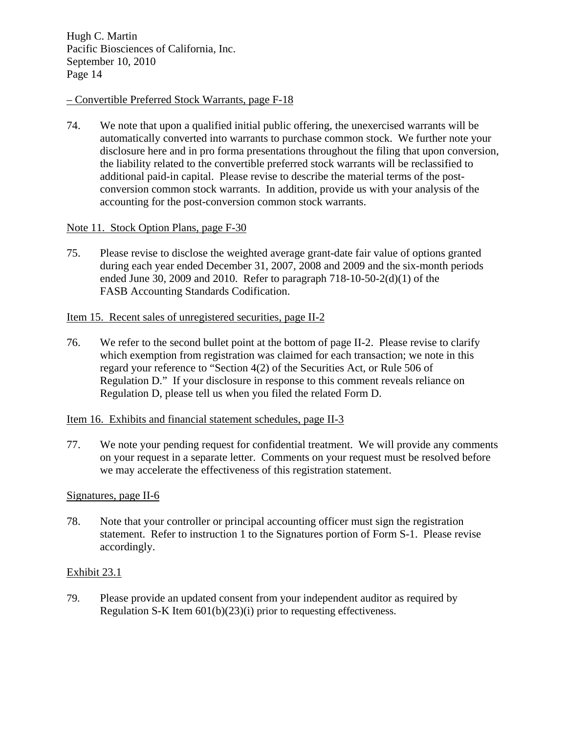## – Convertible Preferred Stock Warrants, page F-18

74. We note that upon a qualified initial public offering, the unexercised warrants will be automatically converted into warrants to purchase common stock. We further note your disclosure here and in pro forma presentations throughout the filing that upon conversion, the liability related to the convertible preferred stock warrants will be reclassified to additional paid-in capital. Please revise to describe the material terms of the postconversion common stock warrants. In addition, provide us with your analysis of the accounting for the post-conversion common stock warrants.

# Note 11. Stock Option Plans, page F-30

75. Please revise to disclose the weighted average grant-date fair value of options granted during each year ended December 31, 2007, 2008 and 2009 and the six-month periods ended June 30, 2009 and 2010. Refer to paragraph 718-10-50-2(d)(1) of the FASB Accounting Standards Codification.

## Item 15. Recent sales of unregistered securities, page II-2

76. We refer to the second bullet point at the bottom of page II-2. Please revise to clarify which exemption from registration was claimed for each transaction; we note in this regard your reference to "Section 4(2) of the Securities Act, or Rule 506 of Regulation D." If your disclosure in response to this comment reveals reliance on Regulation D, please tell us when you filed the related Form D.

## Item 16. Exhibits and financial statement schedules, page II-3

77. We note your pending request for confidential treatment. We will provide any comments on your request in a separate letter. Comments on your request must be resolved before we may accelerate the effectiveness of this registration statement.

## Signatures, page II-6

78. Note that your controller or principal accounting officer must sign the registration statement. Refer to instruction 1 to the Signatures portion of Form S-1. Please revise accordingly.

## Exhibit 23.1

79. Please provide an updated consent from your independent auditor as required by Regulation S-K Item 601(b)(23)(i) prior to requesting effectiveness.